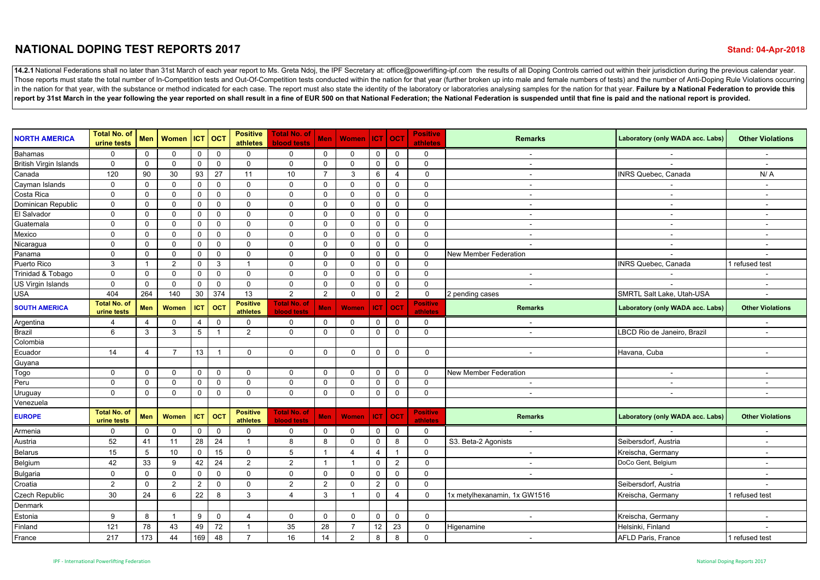## **NATIONAL DOPING TEST REPORTS 2017**

14.2.1 National Federations shall no later than 31st March of each year report to Ms. Greta Ndoi, the IPF Secretary at: office@powerlifting-ipf.com the results of all Doping Controls carried out within their iurisdiction d Those reports must state the total number of In-Competition tests and Out-Of-Competition tests conducted within the nation for that year (further broken up into male and female numbers of tests) and the number of Anti-Dopi in the nation for that year, with the substance or method indicated for each case. The report must also state the identity of the laboratory or laboratories analysing samples for the nation for that year. Failure by a Nati report by 31st March in the vear following the vear reported on shall result in a fine of EUR 500 on that National Federation: the National Federation is suspended until that fine is paid and the national report is provide

| <b>NORTH AMERICA</b>          | <b>Total No. of</b><br>urine tests | Men            | <b>Women</b>            | <b>ICT</b>     | <b>OCT</b>     | <b>Positive</b><br>athletes | Total No. of<br><b>blood tests</b>        |                | Men   Women    | <b>ICT OCT</b> |                      | <b>Positive</b><br>athletes        | <b>Remarks</b>               | Laboratory (only WADA acc. Labs) | <b>Other Violations</b>  |
|-------------------------------|------------------------------------|----------------|-------------------------|----------------|----------------|-----------------------------|-------------------------------------------|----------------|----------------|----------------|----------------------|------------------------------------|------------------------------|----------------------------------|--------------------------|
| <b>Bahamas</b>                | $\mathbf 0$                        | $\mathbf 0$    | 0                       | $\mathbf 0$    | $\mathbf 0$    | $\Omega$                    | $\mathbf 0$                               | $\mathbf 0$    | $\mathbf 0$    | $\mathbf 0$    | $\mathbf 0$          | $\mathbf 0$                        |                              |                                  |                          |
| <b>British Virgin Islands</b> | $\mathbf 0$                        | $\mathbf 0$    | $\Omega$                | $\mathbf 0$    | $\mathbf 0$    | $\Omega$                    | $\Omega$                                  | $\mathbf{0}$   | $\Omega$       | $\Omega$       | $\Omega$             | $\Omega$                           | $\sim$                       |                                  | $\sim$                   |
| Canada                        | 120                                | 90             | 30                      | 93             | 27             | 11                          | 10                                        | $\overline{7}$ | 3              | 6              | 4                    | $\Omega$                           | $\sim$                       | <b>INRS Quebec, Canada</b>       | N/A                      |
| Cayman Islands                | $\mathbf 0$                        | $\mathbf 0$    | 0                       | 0              | 0              | $\mathbf 0$                 | $\mathbf 0$                               | $\mathbf 0$    | $\mathbf 0$    | $\mathbf 0$    | $\mathbf 0$          | 0                                  | $\sim$                       |                                  | $\sim$                   |
| Costa Rica                    | $\mathbf 0$                        | $\mathbf 0$    | 0                       | 0              | 0              | $\Omega$                    | $\mathbf 0$                               | 0              | $\mathbf 0$    | $\mathbf 0$    | $\Omega$             | $\Omega$                           | $\sim$                       | $\overline{\phantom{a}}$         | $\sim$                   |
| Dominican Republic            | $\mathbf 0$                        | $\mathbf 0$    | 0                       | 0              | $\mathbf 0$    | $\Omega$                    | 0                                         | $\mathbf{0}$   | $\mathbf 0$    | $\mathbf 0$    | $\Omega$             | $\mathbf{0}$                       | $\sim$                       | $\sim$                           | $\sim$                   |
| El Salvador                   | $\mathbf 0$                        | $\mathbf 0$    | $\mathbf 0$             | $\mathbf 0$    | $\mathbf 0$    | $\mathbf 0$                 | $\mathbf 0$                               | $\mathbf 0$    | $\mathbf 0$    | $\mathbf 0$    | $\mathbf 0$          | $\mathbf 0$                        | $\sim$                       | $\blacksquare$                   | $\sim$                   |
| Guatemala                     | $\mathbf 0$                        | $\mathbf 0$    | 0                       | 0              | $\mathbf 0$    | $\Omega$                    | 0                                         | $\Omega$       | $\mathbf 0$    | $\mathbf 0$    | $\Omega$             | $\mathbf{0}$                       | $\sim$                       | $\sim$                           | $\sim$                   |
| Mexico                        | $\mathbf 0$                        | $\mathbf 0$    | 0                       | 0              | $\mathbf 0$    | $\mathbf 0$                 | $\mathbf 0$                               | $\mathbf 0$    | $\mathbf 0$    | $\mathbf 0$    | $\Omega$             | $\mathbf 0$                        | $\sim$                       | $\overline{\phantom{a}}$         | $\overline{\phantom{a}}$ |
| Nicaragua                     | $\mathbf 0$                        | $\mathbf 0$    | $\mathbf{0}$            | 0              | $\mathbf 0$    | $\mathbf 0$                 | $\mathbf 0$                               | $\mathbf 0$    | $\mathbf 0$    | $\mathbf 0$    | $\mathbf 0$          | $\mathbf 0$                        | $\overline{a}$               | $\overline{\phantom{a}}$         | $\sim$                   |
| Panama                        | $\Omega$                           | $\mathbf 0$    | $\mathbf 0$             | $\mathbf 0$    | $\mathbf 0$    | $\Omega$                    | $\mathbf{0}$                              | $\Omega$       | $\mathbf 0$    | $\Omega$       | $\Omega$             | $\Omega$                           | New Member Federation        |                                  | $\sim$                   |
| Puerto Rico                   | 3                                  | $\overline{1}$ | $\overline{2}$          | $\mathbf 0$    | 3              | $\mathbf{1}$                | 0                                         | 0              | $\mathbf 0$    | 0              | $\Omega$             | $\mathbf{0}$                       |                              | <b>INRS Quebec, Canada</b>       | 1 refused test           |
| Trinidad & Tobago             | $\mathbf 0$                        | $\mathbf 0$    | $\mathbf{0}$            | $\mathbf 0$    | $\mathbf 0$    | $\mathbf 0$                 | $\mathbf 0$                               | $\mathbf 0$    | $\mathbf 0$    | $\mathbf 0$    | $\mathbf 0$          | $\Omega$                           | $\sim$                       |                                  | $\sim$                   |
| <b>US Virgin Islands</b>      | $\mathbf 0$                        | $\mathbf 0$    | $\Omega$                | $\mathbf 0$    | $\mathbf 0$    | $\mathbf{0}$                | $\mathbf 0$                               | $\Omega$       | $\Omega$       | $\mathbf 0$    | $\Omega$             | $\Omega$                           | $\sim$                       |                                  | $\sim$                   |
| <b>USA</b>                    | 404                                | 264            | 140                     | 30             | 374            | 13                          | $\overline{2}$                            | $\overline{2}$ | $\mathbf 0$    | $\mathbf 0$    | $\overline{2}$       | $\mathbf 0$                        | 2 pending cases              | SMRTL Salt Lake, Utah-USA        | $\sim$                   |
| <b>SOUTH AMERICA</b>          | <b>Total No. of</b><br>urine tests | Men            | Women                   | <b>ICT</b>     | <b>OCT</b>     | <b>Positive</b><br>athletes | Total No. of<br><b>blood tests</b>        | <b>Men</b>     | Women          | <b>ICT</b>     | <b>OCT</b>           | <b>Positive</b><br><b>athletes</b> | <b>Remarks</b>               | Laboratory (only WADA acc. Labs) | <b>Other Violations</b>  |
| Argentina                     | 4                                  | 4              | 0                       | $\overline{4}$ | $\mathbf 0$    | $\Omega$                    | 0                                         | $\Omega$       | $\Omega$       | $\Omega$       | $\Omega$             | $\mathbf 0$                        | $\sim$                       |                                  |                          |
| <b>Brazil</b>                 | 6                                  | 3              | 3                       | 5              | $\overline{1}$ | $\overline{2}$              | $\mathbf 0$                               | $\mathbf{0}$   | $\Omega$       | $\mathbf 0$    | $\mathbf 0$          | $\Omega$                           | $\sim$                       | LBCD Rio de Janeiro. Brazil      | $\sim$                   |
| Colombia                      |                                    |                |                         |                |                |                             |                                           |                |                |                |                      |                                    |                              |                                  |                          |
| Ecuador                       | 14                                 | $\overline{4}$ | $\overline{7}$          | 13             | $\overline{1}$ | $\Omega$                    | $\mathbf 0$                               | $\mathbf{0}$   | $\mathbf{0}$   | $\mathbf 0$    | $\Omega$             | $\Omega$                           | $\sim$                       | Havana, Cuba                     | $\sim$                   |
| Guyana                        |                                    |                |                         |                |                |                             |                                           |                |                |                |                      |                                    |                              |                                  |                          |
| Togo                          | $\mathbf 0$                        | $\mathbf 0$    | 0                       | $\mathbf 0$    | $\mathbf 0$    | $\mathbf 0$                 | 0                                         | $\mathbf 0$    | $\mathbf 0$    | $\mathbf 0$    | $\mathbf 0$          | 0                                  | New Member Federation        | $\sim$                           | $\sim$                   |
| Peru                          | $\Omega$                           | $\mathbf 0$    | $\Omega$                | $\mathbf 0$    | $\mathbf 0$    | $\mathbf 0$                 | $\mathbf 0$                               | $\Omega$       | $\Omega$       | $\mathbf{0}$   | $\Omega$             | $\Omega$                           | $\sim$                       |                                  | $\sim$                   |
| Uruguay                       | $\mathbf 0$                        | $\mathbf 0$    | $\mathbf{0}$            | $\mathbf 0$    | $\mathbf 0$    | $\Omega$                    | $\mathbf 0$                               | $\Omega$       | $\mathbf 0$    | $\mathbf 0$    | $\mathbf 0$          | $\Omega$                           | $\sim$                       | $\sim$                           | $\sim$                   |
| Venezuela                     |                                    |                |                         |                |                |                             |                                           |                |                |                |                      |                                    |                              |                                  |                          |
| <b>EUROPE</b>                 | <b>Total No. of</b><br>urine tests | Men            | Women                   | <b>ICT</b>     | <b>OCT</b>     | <b>Positive</b><br>athletes | <b>Total No. of</b><br><b>blood tests</b> | <b>Men</b>     | Women          | <b>ICT</b>     | <b>OCT</b>           | <b>Positive</b><br><b>athletes</b> | <b>Remarks</b>               | Laboratory (only WADA acc. Labs) | <b>Other Violations</b>  |
| Armenia                       | $\mathbf 0$                        | $\mathbf 0$    | 0                       | $\mathbf 0$    | $\mathbf 0$    | $\Omega$                    | 0                                         | $\mathbf 0$    | 0              | 0              | $\mathbf 0$          | $\mathbf 0$                        | $\sim$                       |                                  | $\sim$                   |
| Austria                       | 52                                 | 41             | 11                      | 28             | 24             | $\mathbf{1}$                | 8                                         | 8              | $\mathbf 0$    | $\mathbf 0$    | 8                    | $\mathbf 0$                        | S3. Beta-2 Agonists          | Seibersdorf, Austria             | $\sim$                   |
| <b>Belarus</b>                | 15                                 | 5              | 10                      | 0              | 15             | $\mathbf 0$                 | 5                                         | $\mathbf{1}$   | 4              | $\overline{4}$ | $\blacktriangleleft$ | $\Omega$                           | $\sim$                       | Kreischa, Germany                | $\sim$                   |
| Belgium                       | 42                                 | 33             | 9                       | 42             | 24             | $\overline{2}$              | 2                                         | $\mathbf{1}$   |                | $\mathbf 0$    | $\overline{2}$       | $\mathbf{0}$                       | $\sim$                       | DoCo Gent, Belgium               | $\sim$                   |
| Bulgaria                      | $\mathbf 0$                        | $\mathbf 0$    | $\Omega$                | $\mathbf 0$    | $\mathbf 0$    | $\Omega$                    | $\Omega$                                  | $\mathbf 0$    | $\Omega$       | $\Omega$       | $\Omega$             | $\Omega$                           | $\sim$                       |                                  | $\sim$                   |
| Croatia                       | $\overline{2}$                     | $\mathbf 0$    | $\overline{2}$          | $\overline{2}$ | $\mathbf 0$    | $\Omega$                    | $\overline{2}$                            | $\overline{2}$ | $\mathbf 0$    | $\overline{2}$ | $\Omega$             | $\mathbf 0$                        |                              | Seibersdorf, Austria             |                          |
| Czech Republic                | 30                                 | 24             | 6                       | 22             | 8              | 3                           | $\overline{4}$                            | 3              | $\mathbf{1}$   | $\mathbf 0$    | $\overline{4}$       | 0                                  | 1x metylhexanamin, 1x GW1516 | Kreischa, Germany                | 1 refused test           |
| Denmark                       |                                    |                |                         |                |                |                             |                                           |                |                |                |                      |                                    |                              |                                  |                          |
| Estonia                       | 9                                  | 8              | $\overline{\mathbf{1}}$ | 9              | $\mathbf 0$    | 4                           | 0                                         | $\mathbf{0}$   | $\mathbf 0$    | $\mathbf 0$    | $\Omega$             | $\mathbf 0$                        | $\sim$                       | Kreischa, Germany                |                          |
| Finland                       | 121                                | 78             | 43                      | 49             | 72             | $\mathbf{1}$                | 35                                        | 28             | $\overline{7}$ | 12             | 23                   | $\mathbf 0$                        | Higenamine                   | Helsinki, Finland                |                          |
| France                        | 217                                | 173            | 44                      | 169            | 48             | $\overline{7}$              | 16                                        | 14             | 2              | 8              | 8                    | $\Omega$                           | $\sim$                       | AFLD Paris, France               | 1 refused test           |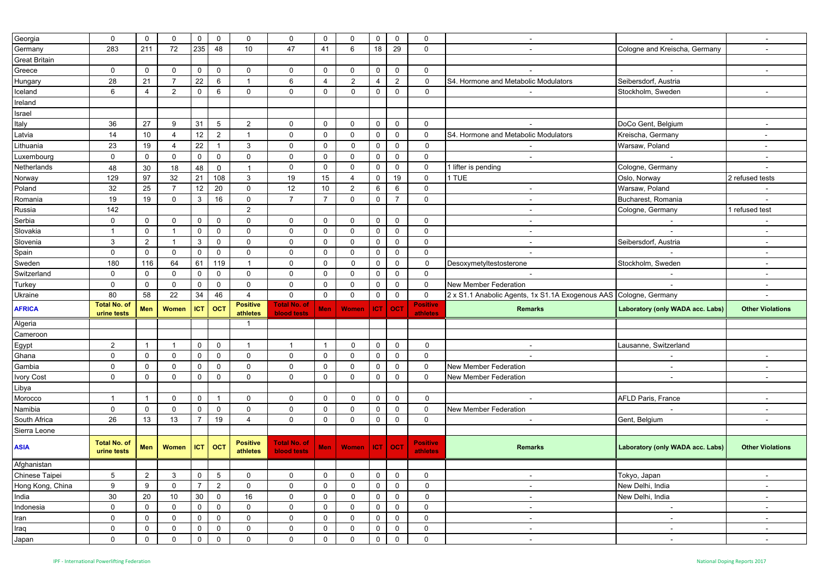| Georgia          | 0                                  | 0              | 0              | $\mathbf 0$    | $\mathbf 0$    | $\mathbf 0$                 | $\mathbf 0$                               | $\mathbf 0$    | 0              | $\mathbf 0$     | 0               | $\mathbf 0$                        | $\sim$                                                            |                                  | $\blacksquare$           |
|------------------|------------------------------------|----------------|----------------|----------------|----------------|-----------------------------|-------------------------------------------|----------------|----------------|-----------------|-----------------|------------------------------------|-------------------------------------------------------------------|----------------------------------|--------------------------|
| Germany          | 283                                | 211            | 72             | 235            | 48             | 10                          | 47                                        | 41             | 6              | 18              | 29              | $\mathbf{0}$                       | $\sim$                                                            | Cologne and Kreischa, Germany    | $\overline{\phantom{a}}$ |
| Great Britain    |                                    |                |                |                |                |                             |                                           |                |                |                 |                 |                                    |                                                                   |                                  |                          |
| Greece           | 0                                  | 0              | 0              | $\mathbf 0$    | $\mathbf 0$    | $\mathbf 0$                 | $\mathbf 0$                               | $\mathbf 0$    | 0              | $\mathbf 0$     | 0               | $\mathbf 0$                        |                                                                   |                                  | $\overline{\phantom{a}}$ |
| Hungary          | 28                                 | 21             | $\overline{7}$ | 22             | 6              | $\mathbf{1}$                | 6                                         | 4              | $\overline{2}$ | $\overline{4}$  | $\overline{2}$  | $\mathbf 0$                        | S4. Hormone and Metabolic Modulators                              | Seibersdorf, Austria             |                          |
| Iceland          | 6                                  | 4              | $\overline{2}$ | $\mathbf 0$    | 6              | $\mathbf 0$                 | $\mathbf 0$                               | $\mathbf 0$    | $\mathbf 0$    | $\mathbf 0$     | $\mathbf 0$     | $\mathbf 0$                        |                                                                   | Stockholm, Sweden                | $\overline{\phantom{a}}$ |
| Ireland          |                                    |                |                |                |                |                             |                                           |                |                |                 |                 |                                    |                                                                   |                                  |                          |
| Israel           |                                    |                |                |                |                |                             |                                           |                |                |                 |                 |                                    |                                                                   |                                  |                          |
| Italy            | 36                                 | 27             | 9              | 31             | 5              | $\overline{2}$              | $\Omega$                                  | $\mathbf 0$    | $\mathbf{0}$   | $\mathbf 0$     | 0               | $\mathbf 0$                        |                                                                   | DoCo Gent, Belgium               |                          |
| Latvia           | 14                                 | 10             | $\overline{4}$ | 12             | $\overline{2}$ | $\mathbf{1}$                | $\mathbf 0$                               | $\mathbf 0$    | 0              | $\mathbf 0$     | 0               | 0                                  | S4. Hormone and Metabolic Modulators                              | Kreischa, Germany                | $\overline{\phantom{a}}$ |
| Lithuania        | 23                                 | 19             | 4              | 22             | $\mathbf{1}$   | 3                           | $\mathbf 0$                               | $\mathbf 0$    | $\mathbf 0$    | $\mathbf 0$     | 0               | $\mathbf 0$                        | $\sim$                                                            | Warsaw, Poland                   | $\overline{\phantom{a}}$ |
| Luxembourg       | $\mathbf 0$                        | 0              | $\mathbf 0$    | $\mathbf 0$    | 0              | $\mathbf 0$                 | $\mathbf 0$                               | 0              | 0              | $\mathbf 0$     | 0               | 0                                  | $\sim$                                                            |                                  | $\sim$                   |
| Netherlands      | 48                                 | 30             | 18             | 48             | $\mathbf 0$    | $\mathbf{1}$                | $\mathbf 0$                               | $\mathbf 0$    | 0              | $\mathbf 0$     | 0               | $\mathbf 0$                        | 1 lifter is pending                                               | Cologne, Germany                 |                          |
| Norway           | 129                                | 97             | 32             | 21             | 108            | 3                           | 19                                        | 15             | 4              | $\mathbf 0$     | 19              | $\mathbf 0$                        | 1 TUE                                                             | Oslo, Norway                     | 2 refused tests          |
| Poland           | 32                                 | 25             | $\overline{7}$ | 12             | 20             | $\mathbf 0$                 | 12                                        | 10             | $\overline{2}$ | $6\phantom{.}6$ | 6               | $\mathbf 0$                        | $\overline{\phantom{a}}$                                          | Warsaw, Poland                   |                          |
| Romania          | 19                                 | 19             | $\mathbf 0$    | $\mathbf{3}$   | 16             | $\mathbf 0$                 | $\overline{7}$                            | $\overline{7}$ | 0              | $\mathbf 0$     | $\overline{7}$  | $\mathbf 0$                        | $\sim$                                                            | Bucharest, Romania               |                          |
| Russia           | 142                                |                |                |                |                | $\overline{2}$              |                                           |                |                |                 |                 |                                    | $\sim$                                                            | Cologne, Germany                 | I refused test           |
| Serbia           | $\mathbf 0$                        | 0              | $\mathbf 0$    | $\mathbf 0$    | $\mathbf 0$    | $\mathbf 0$                 | $\mathbf 0$                               | 0              | $\mathbf{0}$   | $\mathbf 0$     | 0               | $\mathbf 0$                        | $\sim$                                                            | $\sim$                           | $\blacksquare$           |
| Slovakia         | $\mathbf{1}$                       | 0              | $\mathbf{1}$   | 0              | 0              | $\mathbf 0$                 | $\mathbf 0$                               | $\mathbf 0$    | 0              | $\mathbf 0$     | 0               | 0                                  | $\sim$                                                            |                                  | $\overline{\phantom{a}}$ |
| Slovenia         | 3                                  | $\overline{c}$ | $\mathbf{1}$   | $\mathbf{3}$   | $\mathbf 0$    | $\mathbf 0$                 | $\mathbf 0$                               | $\mathbf 0$    | 0              | $\mathbf 0$     | 0               | $\mathbf 0$                        | $\sim$                                                            | Seibersdorf, Austria             | $\overline{\phantom{a}}$ |
| Spain            | $\Omega$                           | $\mathbf 0$    | $\mathbf 0$    | $\mathbf 0$    | $\mathbf 0$    | $\mathbf{0}$                | $\Omega$                                  | $\mathbf 0$    | $\mathbf{0}$   | $\mathbf 0$     | $\mathbf 0$     | $\mathbf 0$                        |                                                                   |                                  | $\blacksquare$           |
| Sweden           | 180                                | 116            | 64             | 61             | 119            | $\mathbf{1}$                | $\mathbf 0$                               | $\mathbf 0$    | $\mathbf 0$    | $\mathbf 0$     | 0               | 0                                  | Desoxymetyltestosterone                                           | Stockholm, Sweden                | $\overline{\phantom{a}}$ |
| Switzerland      | $\mathbf 0$                        | $\mathbf 0$    | 0              | $\mathbf 0$    | $\mathbf 0$    | $\mathbf 0$                 | $\mathbf 0$                               | $\mathbf 0$    | 0              | $\mathbf 0$     | 0               | $\mathbf 0$                        | $\sim$                                                            |                                  | $\overline{\phantom{a}}$ |
| Turkey           | $\mathbf 0$                        | 0              | $\mathbf 0$    | $\mathbf 0$    | $\mathbf 0$    | $\mathbf 0$                 | $\mathbf 0$                               | $\mathbf 0$    | 0              | $\mathbf 0$     | 0               | 0                                  | New Member Federation                                             |                                  | $\overline{\phantom{a}}$ |
|                  |                                    |                |                |                |                |                             |                                           |                |                |                 |                 |                                    |                                                                   |                                  |                          |
| Ukraine          | 80                                 | 58             | 22             | 34             | 46             | $\overline{4}$              | $\mathbf 0$                               | $\mathbf 0$    | 0              | $\mathbf 0$     | 0               | $\mathbf 0$                        | 2 x S1.1 Anabolic Agents, 1x S1.1A Exogenous AAS Cologne, Germany |                                  | $\blacksquare$           |
| <b>AFRICA</b>    | <b>Total No. of</b><br>urine tests | Men            | <b>Women</b>   | <b>ICT</b>     | <b>OCT</b>     | <b>Positive</b><br>athletes | Total No. of<br><b>blood tests</b>        | Men            | <b>Women</b>   | <b>ICT</b>      | <b>OCT</b>      | <b>Positive</b><br><b>athletes</b> | <b>Remarks</b>                                                    | Laboratory (only WADA acc. Labs) | <b>Other Violations</b>  |
| Algeria          |                                    |                |                |                |                | -1                          |                                           |                |                |                 |                 |                                    |                                                                   |                                  |                          |
| Cameroon         |                                    |                |                |                |                |                             |                                           |                |                |                 |                 |                                    |                                                                   |                                  |                          |
| Egypt            | $\overline{2}$                     | $\overline{1}$ | $\mathbf{1}$   | $\mathbf 0$    | 0              | $\mathbf{1}$                | $\mathbf{1}$                              | $\overline{1}$ | 0              | $\mathbf 0$     | 0               | 0                                  | $\overline{\phantom{a}}$                                          | Lausanne, Switzerland            |                          |
| Ghana            | $\mathbf 0$                        | 0              | 0              | $\mathbf 0$    | $\mathbf 0$    | $\mathbf 0$                 | $\mathbf 0$                               | 0              | 0              | $\mathbf 0$     | 0               | $\mathbf 0$                        |                                                                   | $\overline{\phantom{a}}$         | $\blacksquare$           |
| Gambia           | 0                                  | 0              | 0              | $\mathbf 0$    | $\mathbf 0$    | $\mathbf 0$                 | $\mathbf 0$                               | 0              | 0              | $\mathbf 0$     | 0               | $\Omega$                           | New Member Federation                                             | $\sim$                           | $\blacksquare$           |
| Ivory Cost       | $\mathbf 0$                        | 0              | $\mathbf 0$    | $\mathbf 0$    | $\mathbf 0$    | $\mathbf 0$                 | $\mathbf 0$                               | $\mathbf 0$    | 0              | $\mathbf 0$     | 0               | 0                                  | New Member Federation                                             | $\overline{\phantom{a}}$         | $\blacksquare$           |
| Libya            |                                    |                |                |                |                |                             |                                           |                |                |                 |                 |                                    |                                                                   |                                  |                          |
| Morocco          | $\mathbf{1}$                       | $\overline{1}$ | 0              | $\mathbf 0$    | $\overline{1}$ | $\mathbf 0$                 | $\mathbf 0$                               | $\mathbf 0$    | $\mathbf 0$    | $\mathbf 0$     | 0               | $\mathbf 0$                        |                                                                   | AFLD Paris, France               |                          |
| Namibia          | 0                                  | 0              | $\mathbf 0$    | $\mathbf 0$    | $\mathbf 0$    | $\mathbf 0$                 | $\mathbf 0$                               | $\mathbf 0$    | 0              | $\mathbf 0$     | 0               | 0                                  | New Member Federation                                             |                                  | $\overline{\phantom{a}}$ |
| South Africa     | 26                                 | 13             | 13             | $\overline{7}$ | 19             | $\overline{4}$              | $\mathbf 0$                               | 0              | 0              | $\mathbf 0$     | 0               | 0                                  | $\sim$                                                            | Gent, Belgium                    | $\blacksquare$           |
| Sierra Leone     |                                    |                |                |                |                |                             |                                           |                |                |                 |                 |                                    |                                                                   |                                  |                          |
| <b>ASIA</b>      | <b>Total No. of</b><br>urine tests | Men            | <b>Women</b>   | <b>ICT</b>     | OCT            | <b>Positive</b><br>athletes | <b>Total No. of</b><br><b>blood tests</b> | Men            | <b>Women</b>   |                 | $ $ ICT $ $ OCT | <b>Positive</b><br>athletes        | <b>Remarks</b>                                                    | Laboratory (only WADA acc. Labs) | <b>Other Violations</b>  |
| Afghanistan      |                                    |                |                |                |                |                             |                                           |                |                |                 |                 |                                    |                                                                   |                                  |                          |
| Chinese Taipei   | 5                                  | $\overline{2}$ | 3              | $\mathbf 0$    | $\sqrt{5}$     | $\mathbf 0$                 | $\mathbf 0$                               | $\mathbf 0$    | $\mathbf 0$    | $\overline{0}$  | 0               | $\mathbf 0$                        | $\overline{\phantom{a}}$                                          | Tokyo, Japan                     | $\overline{\phantom{a}}$ |
| Hong Kong, China | 9                                  | 9              | $\mathbf 0$    | $\overline{7}$ | $\overline{2}$ | $\mathbf 0$                 | $\mathbf 0$                               | $\mathbf 0$    | $\mathbf 0$    | $\mathsf 0$     | $\mathbf 0$     | $\mathbf 0$                        | $\sim$                                                            | New Delhi, India                 | $\blacksquare$           |
| India            | 30                                 | 20             | 10             | 30             | $\mathbf 0$    | 16                          | $\mathbf 0$                               | $\mathbf 0$    | $\mathbf 0$    | $\overline{0}$  | $\mathbf 0$     | $\mathbf 0$                        | $\sim$                                                            | New Delhi, India                 | $\blacksquare$           |
| Indonesia        | $\mathbf 0$                        | 0              | 0              | $\mathbf 0$    | $\mathbf 0$    | $\mathbf 0$                 | $\mathbf 0$                               | $\mathbf 0$    | 0              | $\mathbf{0}$    | $\mathbf 0$     | 0                                  | $\sim$                                                            | $\sim$                           | $\sim$                   |
| Iran             | 0                                  | 0              | 0              | $\mathbf 0$    | $\mathbf 0$    | $\mathbf 0$                 | $\mathbf 0$                               | $\mathbf 0$    | 0              | $\mathbf 0$     | $\mathbf 0$     | $\mathbf 0$                        | $\sim$                                                            | $\sim$                           | $\sim$                   |
| Iraq             | $\mathbf 0$                        | 0              | $\mathbf 0$    | 0              | $\mathbf 0$    | $\mathbf 0$                 | $\mathbf 0$                               | $\mathbf 0$    | $\mathbf 0$    | $\mathbf 0$     | 0               | $\mathbf 0$                        | $\sim$                                                            | $\sim$                           | $\blacksquare$           |